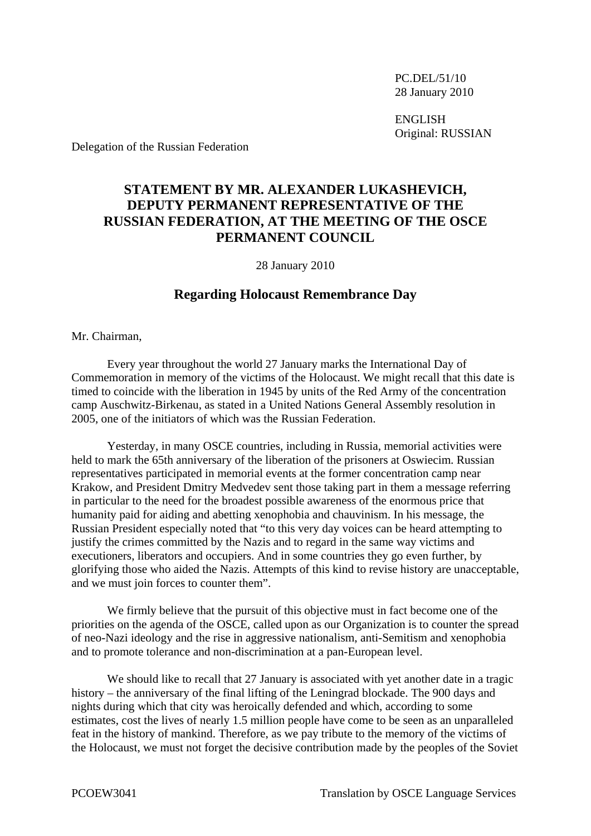PC.DEL/51/10 28 January 2010

 ENGLISH Original: RUSSIAN

Delegation of the Russian Federation

## **STATEMENT BY MR. ALEXANDER LUKASHEVICH, DEPUTY PERMANENT REPRESENTATIVE OF THE RUSSIAN FEDERATION, AT THE MEETING OF THE OSCE PERMANENT COUNCIL**

28 January 2010

## **Regarding Holocaust Remembrance Day**

Mr. Chairman,

 Every year throughout the world 27 January marks the International Day of Commemoration in memory of the victims of the Holocaust. We might recall that this date is timed to coincide with the liberation in 1945 by units of the Red Army of the concentration camp Auschwitz-Birkenau, as stated in a United Nations General Assembly resolution in 2005, one of the initiators of which was the Russian Federation.

 Yesterday, in many OSCE countries, including in Russia, memorial activities were held to mark the 65th anniversary of the liberation of the prisoners at Oswiecim. Russian representatives participated in memorial events at the former concentration camp near Krakow, and President Dmitry Medvedev sent those taking part in them a message referring in particular to the need for the broadest possible awareness of the enormous price that humanity paid for aiding and abetting xenophobia and chauvinism. In his message, the Russian President especially noted that "to this very day voices can be heard attempting to justify the crimes committed by the Nazis and to regard in the same way victims and executioners, liberators and occupiers. And in some countries they go even further, by glorifying those who aided the Nazis. Attempts of this kind to revise history are unacceptable, and we must join forces to counter them".

 We firmly believe that the pursuit of this objective must in fact become one of the priorities on the agenda of the OSCE, called upon as our Organization is to counter the spread of neo-Nazi ideology and the rise in aggressive nationalism, anti-Semitism and xenophobia and to promote tolerance and non-discrimination at a pan-European level.

We should like to recall that 27 January is associated with yet another date in a tragic history – the anniversary of the final lifting of the Leningrad blockade. The 900 days and nights during which that city was heroically defended and which, according to some estimates, cost the lives of nearly 1.5 million people have come to be seen as an unparalleled feat in the history of mankind. Therefore, as we pay tribute to the memory of the victims of the Holocaust, we must not forget the decisive contribution made by the peoples of the Soviet